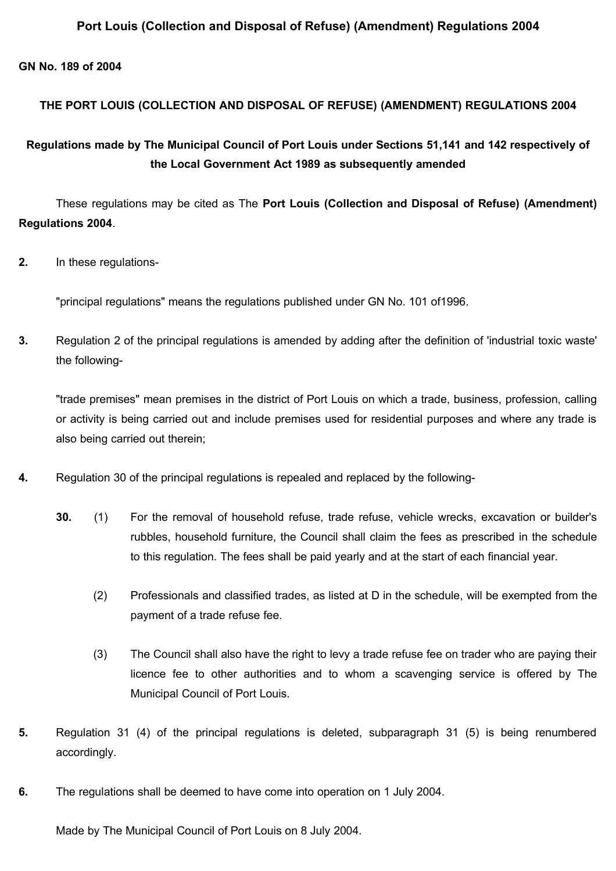### **Port Louis (Collection and Disposal of Refuse) (Amendment) Regulations 2004**

#### **GN No. 189 of 2004**

### **THE PORT LOUIS (COLLECTION AND DISPOSAL OF REFUSE) (AMENDMENT) REGULATIONS 2004**

# **Regulations made by The Municipal Council of Port Louis under Sections 51,141 and 142 respectively of the Local Government Act 1989 as subsequently amended**

These regulations may be cited as The **Port Louis (Collection and Disposal of Refuse) (Amendment) Regulations 2004**.

**2.** In these regulations-

"principal regulations" means the regulations published under GN No. 101 of1996.

**3.** Regulation 2 of the principal regulations is amended by adding after the definition of 'industrial toxic waste' the following-

"trade premises" mean premises in the district of Port Louis on which a trade, business, profession, calling or activity is being carried out and include premises used for residential purposes and where any trade is also being carried out therein;

- **4.** Regulation 30 of the principal regulations is repealed and replaced by the following-
	- **30.** (1) For the removal of household refuse, trade refuse, vehicle wrecks, excavation or builder's rubbles, household furniture, the Council shall claim the fees as prescribed in the schedule to this regulation. The fees shall be paid yearly and at the start of each financial year.
		- (2) Professionals and classified trades, as listed at D in the schedule, will be exempted from the payment of a trade refuse fee.
		- (3) The Council shall also have the right to levy a trade refuse fee on trader who are paying their licence fee to other authorities and to whom a scavenging service is offered by The Municipal Council of Port Louis.
- **5.** Regulation 31 (4) of the principal regulations is deleted, subparagraph 31 (5) is being renumbered accordingly.
- **6.** The regulations shall be deemed to have come into operation on 1 July 2004.

Made by The Municipal Council of Port Louis on 8 July 2004.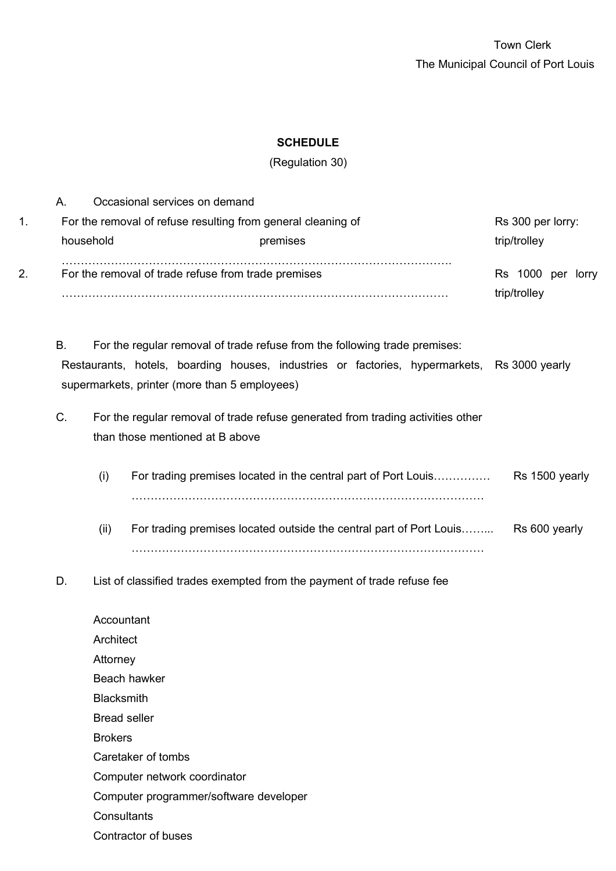## **SCHEDULE**

(Regulation 30)

| 1. | А.                                                  | household                                                                                                                                                                                                                        | Occasional services on demand<br>For the removal of refuse resulting from general cleaning of<br>premises                                                                                                                  | Rs 300 per lorry:<br>trip/trolley |  |  |
|----|-----------------------------------------------------|----------------------------------------------------------------------------------------------------------------------------------------------------------------------------------------------------------------------------------|----------------------------------------------------------------------------------------------------------------------------------------------------------------------------------------------------------------------------|-----------------------------------|--|--|
| 2. | For the removal of trade refuse from trade premises |                                                                                                                                                                                                                                  | Rs 1000 per lorry<br>trip/trolley                                                                                                                                                                                          |                                   |  |  |
|    | В.                                                  |                                                                                                                                                                                                                                  | For the regular removal of trade refuse from the following trade premises:<br>Restaurants, hotels, boarding houses, industries or factories, hypermarkets, Rs 3000 yearly<br>supermarkets, printer (more than 5 employees) |                                   |  |  |
|    | C.                                                  | For the regular removal of trade refuse generated from trading activities other<br>than those mentioned at B above                                                                                                               |                                                                                                                                                                                                                            |                                   |  |  |
|    |                                                     | (i)                                                                                                                                                                                                                              | For trading premises located in the central part of Port Louis                                                                                                                                                             | Rs 1500 yearly                    |  |  |
|    |                                                     | (ii)                                                                                                                                                                                                                             | For trading premises located outside the central part of Port Louis                                                                                                                                                        | Rs 600 yearly                     |  |  |
|    | D.                                                  |                                                                                                                                                                                                                                  | List of classified trades exempted from the payment of trade refuse fee                                                                                                                                                    |                                   |  |  |
|    |                                                     | Accountant<br>Architect<br>Attorney<br>Beach hawker<br><b>Blacksmith</b><br><b>Bread seller</b><br><b>Brokers</b><br>Caretaker of tombs<br>Computer network coordinator<br>Computer programmer/software developer<br>Consultants |                                                                                                                                                                                                                            |                                   |  |  |
|    |                                                     |                                                                                                                                                                                                                                  | Contractor of buses                                                                                                                                                                                                        |                                   |  |  |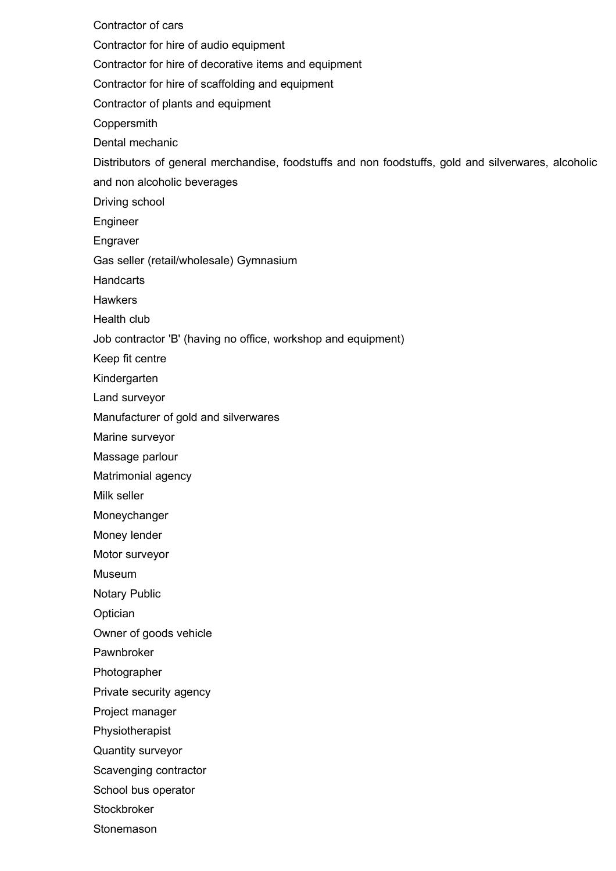Contractor of cars Contractor for hire of audio equipment Contractor for hire of decorative items and equipment Contractor for hire of scaffolding and equipment Contractor of plants and equipment Coppersmith Dental mechanic Distributors of general merchandise, foodstuffs and non foodstuffs, gold and silverwares, alcoholic and non alcoholic beverages Driving school Engineer Engraver Gas seller (retail/wholesale) Gymnasium **Handcarts Hawkers** Health club Job contractor 'B' (having no office, workshop and equipment) Keep fit centre Kindergarten Land surveyor Manufacturer of gold and silverwares Marine surveyor Massage parlour Matrimonial agency Milk seller Moneychanger Money lender Motor surveyor Museum Notary Public **Optician** Owner of goods vehicle Pawnbroker Photographer Private security agency Project manager Physiotherapist Quantity surveyor Scavenging contractor School bus operator

**Stockbroker** 

Stonemason